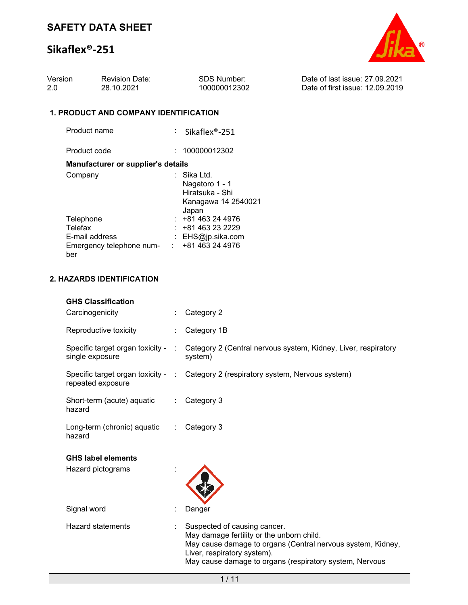# **Sikaflex®-251**



| Version | <b>Revision Date:</b> | SDS Number:  | Date of last issue: 27,09,2021  |
|---------|-----------------------|--------------|---------------------------------|
| -2.0    | 28.10.2021            | 100000012302 | Date of first issue: 12.09.2019 |

### **1. PRODUCT AND COMPANY IDENTIFICATION**

| Product name                                                                                | $:$ Sikaflex®-251                                                              |
|---------------------------------------------------------------------------------------------|--------------------------------------------------------------------------------|
| Product code                                                                                | 100000012302                                                                   |
| <b>Manufacturer or supplier's details</b>                                                   |                                                                                |
| Company                                                                                     | Sika Ltd.<br>Nagatoro 1 - 1<br>Hiratsuka - Shi<br>Kanagawa 14 2540021<br>Japan |
| Telephone<br>Telefax<br>E-mail address<br>Emergency telephone num- : +81 463 24 4976<br>ber | : 481463244976<br>+81 463 23 2229<br>: EHS@jp.sika.com                         |

## **2. HAZARDS IDENTIFICATION**

| <b>GHS Classification</b>                           |                         |                                                                                                                                                                                                                                    |
|-----------------------------------------------------|-------------------------|------------------------------------------------------------------------------------------------------------------------------------------------------------------------------------------------------------------------------------|
| Carcinogenicity                                     |                         | Category 2                                                                                                                                                                                                                         |
| Reproductive toxicity                               | ÷                       | Category 1B                                                                                                                                                                                                                        |
| Specific target organ toxicity -<br>single exposure |                         | Category 2 (Central nervous system, Kidney, Liver, respiratory<br>system)                                                                                                                                                          |
| repeated exposure                                   |                         | Specific target organ toxicity - : Category 2 (respiratory system, Nervous system)                                                                                                                                                 |
| Short-term (acute) aquatic<br>hazard                | $\mathbb{Z}^{\times}$ . | Category 3                                                                                                                                                                                                                         |
| Long-term (chronic) aquatic<br>hazard               | $\mathbb{R}^n$          | Category 3                                                                                                                                                                                                                         |
| <b>GHS label elements</b>                           |                         |                                                                                                                                                                                                                                    |
| Hazard pictograms                                   |                         |                                                                                                                                                                                                                                    |
| Signal word                                         |                         | Danger                                                                                                                                                                                                                             |
| <b>Hazard statements</b>                            |                         | Suspected of causing cancer.<br>May damage fertility or the unborn child.<br>May cause damage to organs (Central nervous system, Kidney,<br>Liver, respiratory system).<br>May cause damage to organs (respiratory system, Nervous |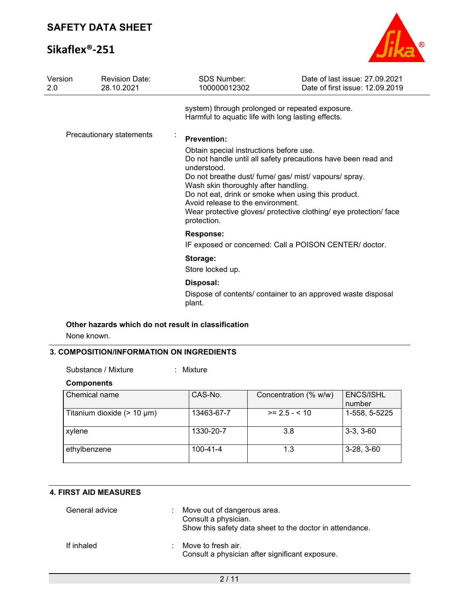# **Sikaflex®-251**



| Version<br>2.0 | <b>Revision Date:</b><br>28.10.2021 | <b>SDS Number:</b><br>100000012302                                                                                                                                                                                                                                                                                                         | Date of last issue: 27,09,2021<br>Date of first issue: 12.09.2019 |
|----------------|-------------------------------------|--------------------------------------------------------------------------------------------------------------------------------------------------------------------------------------------------------------------------------------------------------------------------------------------------------------------------------------------|-------------------------------------------------------------------|
|                |                                     | system) through prolonged or repeated exposure.<br>Harmful to aquatic life with long lasting effects.                                                                                                                                                                                                                                      |                                                                   |
|                | Precautionary statements            | <b>Prevention:</b><br>Obtain special instructions before use.<br>Do not handle until all safety precautions have been read and<br>understood.<br>Do not breathe dust/ fume/ gas/ mist/ vapours/ spray.<br>Wash skin thoroughly after handling.<br>Do not eat, drink or smoke when using this product.<br>Avoid release to the environment. |                                                                   |
|                |                                     | Wear protective gloves/ protective clothing/ eye protection/ face<br>protection.                                                                                                                                                                                                                                                           |                                                                   |
|                |                                     | <b>Response:</b><br>IF exposed or concerned: Call a POISON CENTER/ doctor.                                                                                                                                                                                                                                                                 |                                                                   |
|                |                                     | Storage:<br>Store locked up.                                                                                                                                                                                                                                                                                                               |                                                                   |
|                |                                     | Disposal:<br>Dispose of contents/ container to an approved waste disposal<br>plant.                                                                                                                                                                                                                                                        |                                                                   |

## **Other hazards which do not result in classification**

None known.

### **3. COMPOSITION/INFORMATION ON INGREDIENTS**

| Substance / Mixture |  | Mixture |
|---------------------|--|---------|
|---------------------|--|---------|

### **Components**

| Chemical name                   | CAS-No.        | Concentration (% w/w) | <b>ENCS/ISHL</b><br>number |
|---------------------------------|----------------|-----------------------|----------------------------|
| Titanium dioxide $(> 10 \mu m)$ | 13463-67-7     | $>= 2.5 - 10$         | 1-558, 5-5225              |
| xylene                          | 1330-20-7      | 3.8                   | $3-3, 3-60$                |
| ethylbenzene                    | $100 - 41 - 4$ | 1.3                   | $3-28, 3-60$               |

## **4. FIRST AID MEASURES**

| General advice | ÷. | Move out of dangerous area.<br>Consult a physician.<br>Show this safety data sheet to the doctor in attendance. |
|----------------|----|-----------------------------------------------------------------------------------------------------------------|
| If inhaled     |    | $\therefore$ Move to fresh air.<br>Consult a physician after significant exposure.                              |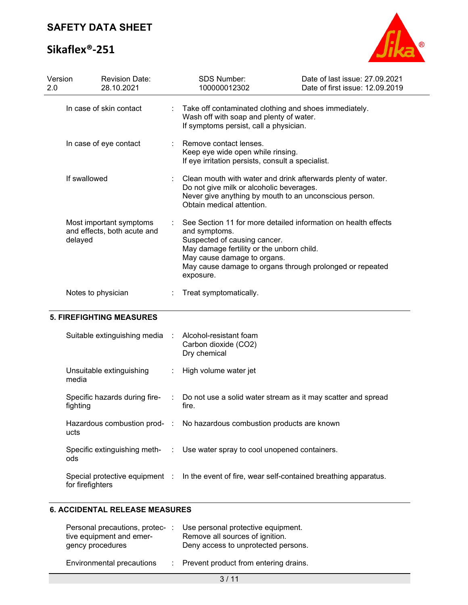# **Sikaflex®-251**



| Version<br>2.0                                                    | <b>Revision Date:</b><br>28.10.2021 |  | <b>SDS Number:</b><br>100000012302                                                                                                                                                                                                                                   | Date of last issue: 27.09.2021<br>Date of first issue: 12.09.2019 |
|-------------------------------------------------------------------|-------------------------------------|--|----------------------------------------------------------------------------------------------------------------------------------------------------------------------------------------------------------------------------------------------------------------------|-------------------------------------------------------------------|
|                                                                   | In case of skin contact             |  | Take off contaminated clothing and shoes immediately.<br>Wash off with soap and plenty of water.<br>If symptoms persist, call a physician.                                                                                                                           |                                                                   |
|                                                                   | In case of eye contact              |  | Remove contact lenses.<br>Keep eye wide open while rinsing.<br>If eye irritation persists, consult a specialist.                                                                                                                                                     |                                                                   |
| If swallowed                                                      |                                     |  | Clean mouth with water and drink afterwards plenty of water.<br>Do not give milk or alcoholic beverages.<br>Never give anything by mouth to an unconscious person.<br>Obtain medical attention.                                                                      |                                                                   |
| Most important symptoms<br>and effects, both acute and<br>delayed |                                     |  | See Section 11 for more detailed information on health effects<br>and symptoms.<br>Suspected of causing cancer.<br>May damage fertility or the unborn child.<br>May cause damage to organs.<br>May cause damage to organs through prolonged or repeated<br>exposure. |                                                                   |
|                                                                   | Notes to physician                  |  | Treat symptomatically.                                                                                                                                                                                                                                               |                                                                   |

## **5. FIREFIGHTING MEASURES**

| Suitable extinguishing media : Alcohol-resistant foam | Carbon dioxide (CO2)<br>Dry chemical                                                          |
|-------------------------------------------------------|-----------------------------------------------------------------------------------------------|
| Unsuitable extinguishing<br>media                     | : High volume water jet                                                                       |
| Specific hazards during fire-<br>fighting             | : Do not use a solid water stream as it may scatter and spread<br>fire.                       |
| ucts                                                  | Hazardous combustion prod- : No hazardous combustion products are known                       |
| ods                                                   | Specific extinguishing meth- : Use water spray to cool unopened containers.                   |
| for firefighters                                      | Special protective equipment : In the event of fire, wear self-contained breathing apparatus. |

## **6. ACCIDENTAL RELEASE MEASURES**

| Personal precautions, protec-<br>tive equipment and emer-<br>gency procedures | Use personal protective equipment.<br>Remove all sources of ignition.<br>Deny access to unprotected persons. |
|-------------------------------------------------------------------------------|--------------------------------------------------------------------------------------------------------------|
| <b>Environmental precautions</b>                                              | : Prevent product from entering drains.                                                                      |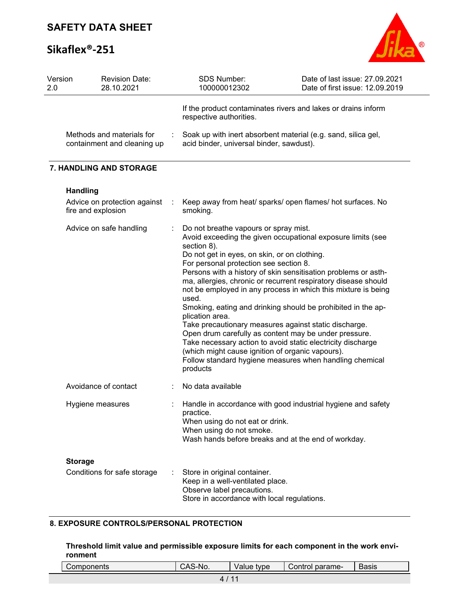# **Sikaflex®-251**



| Version<br>2.0 | <b>Revision Date:</b><br>28.10.2021                      | SDS Number:<br>100000012302                                                                                                                                                                                                                                                                                                                                                                                                                                                                                                                                                                                           | Date of last issue: 27.09.2021<br>Date of first issue: 12.09.2019                                                                                                                                 |
|----------------|----------------------------------------------------------|-----------------------------------------------------------------------------------------------------------------------------------------------------------------------------------------------------------------------------------------------------------------------------------------------------------------------------------------------------------------------------------------------------------------------------------------------------------------------------------------------------------------------------------------------------------------------------------------------------------------------|---------------------------------------------------------------------------------------------------------------------------------------------------------------------------------------------------|
|                |                                                          | If the product contaminates rivers and lakes or drains inform<br>respective authorities.                                                                                                                                                                                                                                                                                                                                                                                                                                                                                                                              |                                                                                                                                                                                                   |
|                | Methods and materials for<br>containment and cleaning up | Soak up with inert absorbent material (e.g. sand, silica gel,<br>acid binder, universal binder, sawdust).                                                                                                                                                                                                                                                                                                                                                                                                                                                                                                             |                                                                                                                                                                                                   |
|                | 7. HANDLING AND STORAGE                                  |                                                                                                                                                                                                                                                                                                                                                                                                                                                                                                                                                                                                                       |                                                                                                                                                                                                   |
|                | <b>Handling</b>                                          |                                                                                                                                                                                                                                                                                                                                                                                                                                                                                                                                                                                                                       |                                                                                                                                                                                                   |
|                | Advice on protection against<br>fire and explosion       | smoking.                                                                                                                                                                                                                                                                                                                                                                                                                                                                                                                                                                                                              | Keep away from heat/ sparks/ open flames/ hot surfaces. No                                                                                                                                        |
|                | Advice on safe handling                                  | Do not breathe vapours or spray mist.<br>Avoid exceeding the given occupational exposure limits (see<br>section 8).<br>Do not get in eyes, on skin, or on clothing.<br>For personal protection see section 8.<br>used.<br>Smoking, eating and drinking should be prohibited in the ap-<br>plication area.<br>Take precautionary measures against static discharge.<br>Open drum carefully as content may be under pressure.<br>Take necessary action to avoid static electricity discharge<br>(which might cause ignition of organic vapours).<br>Follow standard hygiene measures when handling chemical<br>products | Persons with a history of skin sensitisation problems or asth-<br>ma, allergies, chronic or recurrent respiratory disease should<br>not be employed in any process in which this mixture is being |
|                | Avoidance of contact                                     | No data available                                                                                                                                                                                                                                                                                                                                                                                                                                                                                                                                                                                                     |                                                                                                                                                                                                   |
|                | Hygiene measures                                         | practice.<br>When using do not eat or drink.<br>When using do not smoke.<br>Wash hands before breaks and at the end of workday.                                                                                                                                                                                                                                                                                                                                                                                                                                                                                       | Handle in accordance with good industrial hygiene and safety                                                                                                                                      |
|                | <b>Storage</b>                                           |                                                                                                                                                                                                                                                                                                                                                                                                                                                                                                                                                                                                                       |                                                                                                                                                                                                   |
|                | Conditions for safe storage                              | Store in original container.<br>Keep in a well-ventilated place.<br>Observe label precautions.<br>Store in accordance with local regulations.                                                                                                                                                                                                                                                                                                                                                                                                                                                                         |                                                                                                                                                                                                   |

## **8. EXPOSURE CONTROLS/PERSONAL PROTECTION**

**Threshold limit value and permissible exposure limits for each component in the work environment**

| Components | CAS-No. | Value type | Control parame- | <b>Basis</b> |
|------------|---------|------------|-----------------|--------------|
|            |         |            |                 |              |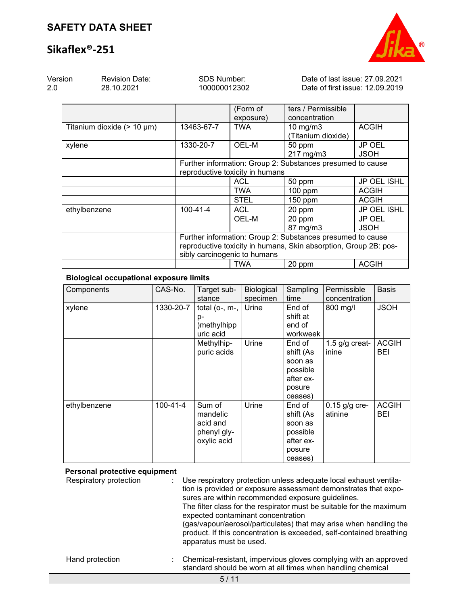# **Sikaflex®-251**



| Version | <b>Revision Date:</b> | SDS Number:  | Date of last issue: 27.09.2021  |
|---------|-----------------------|--------------|---------------------------------|
| -2.0    | 28.10.2021            | 100000012302 | Date of first issue: 12.09.2019 |
|         |                       |              |                                 |

|                                 |                                                                  | (Form of                        | ters / Permissible                                         |                    |  |
|---------------------------------|------------------------------------------------------------------|---------------------------------|------------------------------------------------------------|--------------------|--|
|                                 |                                                                  | exposure)                       | concentration                                              |                    |  |
| Titanium dioxide $(> 10 \mu m)$ | 13463-67-7                                                       | <b>TWA</b>                      | $10$ mg/m $3$                                              | <b>ACGIH</b>       |  |
|                                 |                                                                  |                                 | (Titanium dioxide)                                         |                    |  |
| xylene                          | 1330-20-7                                                        | OEL-M                           | 50 ppm                                                     | JP OEL             |  |
|                                 |                                                                  |                                 | 217 mg/m3                                                  | <b>JSOH</b>        |  |
|                                 |                                                                  |                                 | Further information: Group 2: Substances presumed to cause |                    |  |
|                                 |                                                                  | reproductive toxicity in humans |                                                            |                    |  |
|                                 |                                                                  | <b>ACL</b>                      | 50 ppm                                                     | JP OEL ISHL        |  |
|                                 |                                                                  | TWA                             | $100$ ppm                                                  | <b>ACGIH</b>       |  |
|                                 |                                                                  | <b>STEL</b>                     | 150 ppm                                                    | <b>ACGIH</b>       |  |
| ethylbenzene                    | $100 - 41 - 4$                                                   | <b>ACL</b>                      | 20 ppm                                                     | <b>JP OEL ISHL</b> |  |
|                                 |                                                                  | OEL-M                           | 20 ppm                                                     | JP OEL             |  |
|                                 |                                                                  |                                 | 87 mg/m3                                                   | <b>JSOH</b>        |  |
|                                 |                                                                  |                                 | Further information: Group 2: Substances presumed to cause |                    |  |
|                                 | reproductive toxicity in humans, Skin absorption, Group 2B: pos- |                                 |                                                            |                    |  |
|                                 |                                                                  | sibly carcinogenic to humans    |                                                            |                    |  |
|                                 |                                                                  | <b>TWA</b>                      | 20 ppm                                                     | <b>ACGIH</b>       |  |

### **Biological occupational exposure limits**

| Components   | CAS-No.   | Target sub-<br>stance                                        | Biological<br>specimen | Sampling<br>time                                                             | Permissible<br>concentration | <b>Basis</b>        |
|--------------|-----------|--------------------------------------------------------------|------------------------|------------------------------------------------------------------------------|------------------------------|---------------------|
| xylene       | 1330-20-7 | total ( $o$ -, $m$ -,<br>p-<br>)methylhipp<br>uric acid      | Urine                  | End of<br>shift at<br>end of<br>workweek                                     | 800 mg/l                     | <b>JSOH</b>         |
|              |           | Methylhip-<br>puric acids                                    | Urine                  | End of<br>shift (As<br>soon as<br>possible<br>after ex-<br>posure<br>ceases) | 1.5 $g/g$ creat-<br>inine    | <b>ACGIH</b><br>BEI |
| ethylbenzene | 100-41-4  | Sum of<br>mandelic<br>acid and<br>phenyl gly-<br>oxylic acid | Urine                  | End of<br>shift (As<br>soon as<br>possible<br>after ex-<br>posure<br>ceases) | $0.15$ g/g cre-<br>atinine   | <b>ACGIH</b><br>BEI |

### **Personal protective equipment**

Respiratory protection : Use respiratory protection unless adequate local exhaust ventilation is provided or exposure assessment demonstrates that exposures are within recommended exposure guidelines. The filter class for the respirator must be suitable for the maximum expected contaminant concentration (gas/vapour/aerosol/particulates) that may arise when handling the product. If this concentration is exceeded, self-contained breathing apparatus must be used. Hand protection : Chemical-resistant, impervious gloves complying with an approved standard should be worn at all times when handling chemical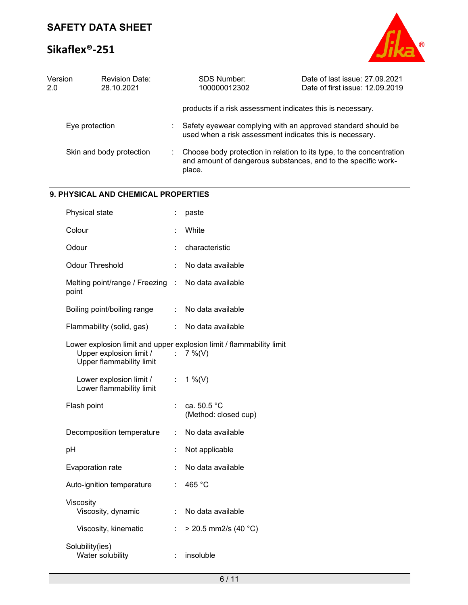# **Sikaflex®-251**



| Version<br>2.0 | <b>Revision Date:</b><br>28.10.2021                 |    | SDS Number:<br>100000012302                                                                                                                     | Date of last issue: 27.09.2021<br>Date of first issue: 12.09.2019 |
|----------------|-----------------------------------------------------|----|-------------------------------------------------------------------------------------------------------------------------------------------------|-------------------------------------------------------------------|
|                |                                                     |    | products if a risk assessment indicates this is necessary.                                                                                      |                                                                   |
|                | Eye protection                                      |    | Safety eyewear complying with an approved standard should be<br>used when a risk assessment indicates this is necessary.                        |                                                                   |
|                | Skin and body protection                            |    | Choose body protection in relation to its type, to the concentration<br>and amount of dangerous substances, and to the specific work-<br>place. |                                                                   |
|                | 9. PHYSICAL AND CHEMICAL PROPERTIES                 |    |                                                                                                                                                 |                                                                   |
|                | Physical state                                      |    | paste                                                                                                                                           |                                                                   |
|                | Colour                                              |    | White                                                                                                                                           |                                                                   |
|                | Odour                                               |    | characteristic                                                                                                                                  |                                                                   |
|                | <b>Odour Threshold</b>                              |    | No data available                                                                                                                               |                                                                   |
|                | Melting point/range / Freezing :<br>point           |    | No data available                                                                                                                               |                                                                   |
|                | Boiling point/boiling range                         |    | No data available                                                                                                                               |                                                                   |
|                | Flammability (solid, gas)                           | ÷  | No data available                                                                                                                               |                                                                   |
|                | Upper explosion limit /<br>Upper flammability limit | ÷. | Lower explosion limit and upper explosion limit / flammability limit<br>$7\%$ (V)                                                               |                                                                   |
|                | Lower explosion limit /<br>Lower flammability limit | ÷. | 1 %(V)                                                                                                                                          |                                                                   |
|                | Flash point                                         |    | ca. 50.5 °C<br>(Method: closed cup)                                                                                                             |                                                                   |
|                | Decomposition temperature                           |    | No data available                                                                                                                               |                                                                   |
|                | pH                                                  |    | Not applicable                                                                                                                                  |                                                                   |
|                | Evaporation rate                                    |    | No data available                                                                                                                               |                                                                   |
|                | Auto-ignition temperature                           |    | 465 °C                                                                                                                                          |                                                                   |
|                | Viscosity<br>Viscosity, dynamic                     |    | No data available                                                                                                                               |                                                                   |
|                | Viscosity, kinematic                                |    | $>$ 20.5 mm2/s (40 °C)                                                                                                                          |                                                                   |
|                | Solubility(ies)<br>Water solubility                 |    | insoluble                                                                                                                                       |                                                                   |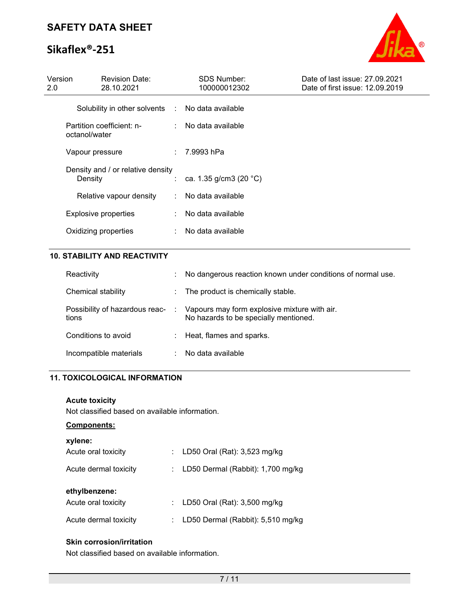# **Sikaflex®-251**



| Version<br>2.0 | <b>Revision Date:</b><br>28.10.2021          | <b>SDS Number:</b><br>100000012302 | Date of last issue: 27.09.2021<br>Date of first issue: 12.09.2019 |
|----------------|----------------------------------------------|------------------------------------|-------------------------------------------------------------------|
|                | Solubility in other solvents :               | No data available                  |                                                                   |
|                | Partition coefficient: n-<br>octanol/water   | : No data available                |                                                                   |
|                | Vapour pressure                              | : 7.9993 hPa                       |                                                                   |
|                | Density and / or relative density<br>Density | ca. 1.35 g/cm3 (20 $^{\circ}$ C)   |                                                                   |
|                | Relative vapour density<br>$\mathbb{R}^n$    | No data available                  |                                                                   |
|                | <b>Explosive properties</b>                  | No data available                  |                                                                   |
|                | Oxidizing properties                         | No data available                  |                                                                   |
|                |                                              |                                    |                                                                   |

## **10. STABILITY AND REACTIVITY**

| Reactivity                              | ÷. | No dangerous reaction known under conditions of normal use.                           |
|-----------------------------------------|----|---------------------------------------------------------------------------------------|
| Chemical stability                      | ÷. | The product is chemically stable.                                                     |
| Possibility of hazardous reac-<br>tions | A. | Vapours may form explosive mixture with air.<br>No hazards to be specially mentioned. |
| Conditions to avoid                     |    | Heat, flames and sparks.                                                              |
| Incompatible materials                  |    | No data available                                                                     |

### **11. TOXICOLOGICAL INFORMATION**

### **Acute toxicity**

Not classified based on available information.

### **Components:**

| xylene:               |    |                                       |
|-----------------------|----|---------------------------------------|
| Acute oral toxicity   |    | : LD50 Oral (Rat): 3,523 mg/kg        |
| Acute dermal toxicity |    | : LD50 Dermal (Rabbit): $1,700$ mg/kg |
| ethylbenzene:         |    |                                       |
| Acute oral toxicity   |    | : LD50 Oral (Rat): 3,500 mg/kg        |
| Acute dermal toxicity | ÷. | LD50 Dermal (Rabbit): 5,510 mg/kg     |

## **Skin corrosion/irritation**

Not classified based on available information.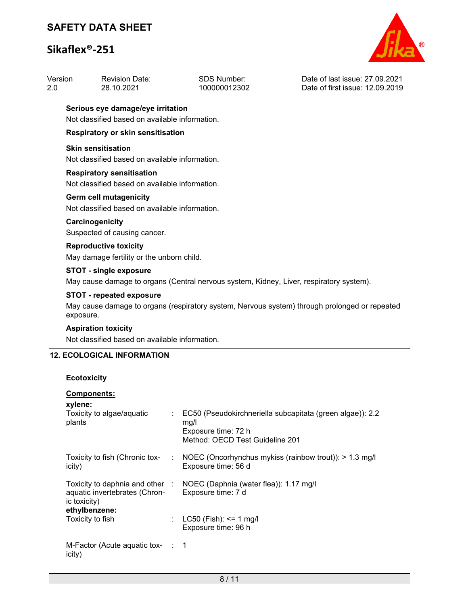# **Sikaflex®-251**



| Version<br>2.0 |                                                                                    | <b>Revision Date:</b><br>28.10.2021                                                 | SDS Number:<br>100000012302                                                                                                 | Date of last issue: 27.09.2021<br>Date of first issue: 12.09.2019 |  |  |  |  |
|----------------|------------------------------------------------------------------------------------|-------------------------------------------------------------------------------------|-----------------------------------------------------------------------------------------------------------------------------|-------------------------------------------------------------------|--|--|--|--|
|                |                                                                                    | Serious eye damage/eye irritation<br>Not classified based on available information. |                                                                                                                             |                                                                   |  |  |  |  |
|                |                                                                                    | Respiratory or skin sensitisation                                                   |                                                                                                                             |                                                                   |  |  |  |  |
|                | <b>Skin sensitisation</b>                                                          | Not classified based on available information.                                      |                                                                                                                             |                                                                   |  |  |  |  |
|                | <b>Respiratory sensitisation</b><br>Not classified based on available information. |                                                                                     |                                                                                                                             |                                                                   |  |  |  |  |
|                | <b>Germ cell mutagenicity</b><br>Not classified based on available information.    |                                                                                     |                                                                                                                             |                                                                   |  |  |  |  |
|                | Carcinogenicity<br>Suspected of causing cancer.                                    |                                                                                     |                                                                                                                             |                                                                   |  |  |  |  |
|                | <b>Reproductive toxicity</b>                                                       | May damage fertility or the unborn child.                                           |                                                                                                                             |                                                                   |  |  |  |  |
|                | <b>STOT - single exposure</b>                                                      |                                                                                     | May cause damage to organs (Central nervous system, Kidney, Liver, respiratory system).                                     |                                                                   |  |  |  |  |
|                |                                                                                    | STOT - repeated exposure                                                            |                                                                                                                             |                                                                   |  |  |  |  |
|                | exposure.                                                                          |                                                                                     | May cause damage to organs (respiratory system, Nervous system) through prolonged or repeated                               |                                                                   |  |  |  |  |
|                | <b>Aspiration toxicity</b>                                                         |                                                                                     |                                                                                                                             |                                                                   |  |  |  |  |
|                |                                                                                    | Not classified based on available information.                                      |                                                                                                                             |                                                                   |  |  |  |  |
|                |                                                                                    | <b>12. ECOLOGICAL INFORMATION</b>                                                   |                                                                                                                             |                                                                   |  |  |  |  |
|                | <b>Ecotoxicity</b>                                                                 |                                                                                     |                                                                                                                             |                                                                   |  |  |  |  |
|                | <b>Components:</b><br>xylene:<br>Toxicity to algae/aquatic<br>plants               |                                                                                     | EC50 (Pseudokirchneriella subcapitata (green algae)): 2.2<br>mg/l<br>Exposure time: 72 h<br>Method: OECD Test Guideline 201 |                                                                   |  |  |  |  |

Toxicity to fish (Chronic tox-: NOEC (Oncorhynchus mykiss (rainbow trout)): > 1.3 mg/l Exposure time: 56 d

|                               | Toxicity to daphnia and other : NOEC (Daphnia (water flea)): 1.17 mg/l |
|-------------------------------|------------------------------------------------------------------------|
| aquatic invertebrates (Chron- | Exposure time: 7 d                                                     |
| ic toxicity)                  |                                                                        |
| athylhanzana:                 |                                                                        |

| $\sim$ to $\sim$ to $\sim$ |                                                   |
|----------------------------|---------------------------------------------------|
| ethylbenzene:              |                                                   |
| Toxicity to fish           | : $LC50$ (Fish): <= 1 mg/l<br>Exposure time: 96 h |
|                            |                                                   |

icity)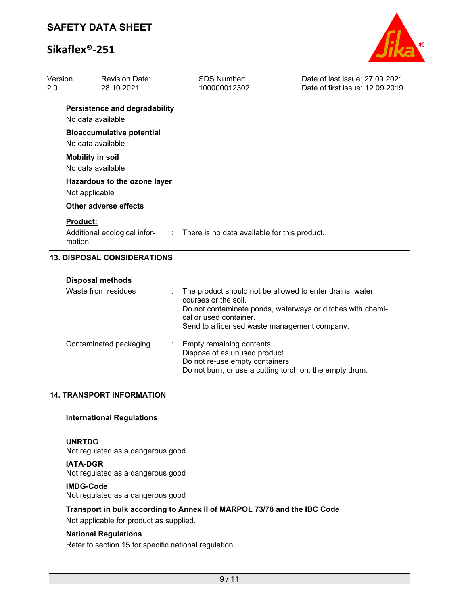# **Sikaflex®-251**



| Version<br>2.0 | <b>Revision Date:</b><br>28.10.2021                             | <b>SDS Number:</b><br>100000012302                                                                                                                                                                                       | Date of last issue: 27,09,2021<br>Date of first issue: 12.09.2019 |
|----------------|-----------------------------------------------------------------|--------------------------------------------------------------------------------------------------------------------------------------------------------------------------------------------------------------------------|-------------------------------------------------------------------|
|                | <b>Persistence and degradability</b><br>No data available       |                                                                                                                                                                                                                          |                                                                   |
|                | <b>Bioaccumulative potential</b><br>No data available           |                                                                                                                                                                                                                          |                                                                   |
|                | <b>Mobility in soil</b><br>No data available                    |                                                                                                                                                                                                                          |                                                                   |
|                | Hazardous to the ozone layer<br>Not applicable                  |                                                                                                                                                                                                                          |                                                                   |
|                | <b>Other adverse effects</b>                                    |                                                                                                                                                                                                                          |                                                                   |
|                | <b>Product:</b><br>Additional ecological infor-<br>÷.<br>mation | There is no data available for this product.                                                                                                                                                                             |                                                                   |
|                | <b>13. DISPOSAL CONSIDERATIONS</b>                              |                                                                                                                                                                                                                          |                                                                   |
|                | <b>Disposal methods</b>                                         |                                                                                                                                                                                                                          |                                                                   |
|                | Waste from residues                                             | The product should not be allowed to enter drains, water<br>courses or the soil.<br>Do not contaminate ponds, waterways or ditches with chemi-<br>cal or used container.<br>Send to a licensed waste management company. |                                                                   |
|                | Contaminated packaging<br>IODODT ILIFODIA                       | Empty remaining contents.<br>Dispose of as unused product.<br>Do not re-use empty containers.<br>Do not burn, or use a cutting torch on, the empty drum.                                                                 |                                                                   |

### **14. TRANSPORT INFORMATION**

### **International Regulations**

### **UNRTDG**

Not regulated as a dangerous good

**IATA-DGR** Not regulated as a dangerous good

### **IMDG-Code**

Not regulated as a dangerous good

## **Transport in bulk according to Annex II of MARPOL 73/78 and the IBC Code**

Not applicable for product as supplied.

### **National Regulations**

Refer to section 15 for specific national regulation.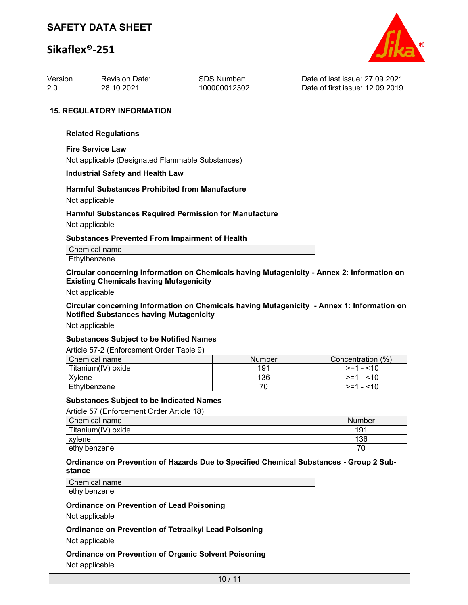## **Sikaflex®-251**



| Version | <b>Revision Date:</b> | SDS Number:  | Date of last issue: 27,09,2021  |
|---------|-----------------------|--------------|---------------------------------|
| 2.0     | 28.10.2021            | 100000012302 | Date of first issue: 12.09.2019 |
|         |                       |              |                                 |

#### **15. REGULATORY INFORMATION**

#### **Related Regulations**

**Fire Service Law** Not applicable (Designated Flammable Substances)

#### **Industrial Safety and Health Law**

# **Harmful Substances Prohibited from Manufacture**

Not applicable

### **Harmful Substances Required Permission for Manufacture**

Not applicable

#### **Substances Prevented From Impairment of Health**

| Chemical name |
|---------------|
| Ethylbenzene  |
|               |

### **Circular concerning Information on Chemicals having Mutagenicity - Annex 2: Information on Existing Chemicals having Mutagenicity**

Not applicable

**Circular concerning Information on Chemicals having Mutagenicity - Annex 1: Information on Notified Substances having Mutagenicity**

Not applicable

### **Substances Subject to be Notified Names**

Article 57-2 (Enforcement Order Table 9)

| l Chemical name    | <b>Number</b> | Concentration (%) |
|--------------------|---------------|-------------------|
| Titanium(IV) oxide | 191           | $>=1 - 10$        |
| Xvlene             | 136           | $>=1 - 10$        |
| Ethylbenzene       |               | $>=1 - 10$        |

### **Substances Subject to be Indicated Names**

Article 57 (Enforcement Order Article 18)

| Chemical name      | Number |
|--------------------|--------|
| Titanium(IV) oxide | 191    |
| xvlene             | 136    |
| ethylbenzene       |        |

### **Ordinance on Prevention of Hazards Due to Specified Chemical Substances - Group 2 Substance**

Chemical name ethylbenzene

### **Ordinance on Prevention of Lead Poisoning**

Not applicable

### **Ordinance on Prevention of Tetraalkyl Lead Poisoning**

Not applicable

### **Ordinance on Prevention of Organic Solvent Poisoning** Not applicable